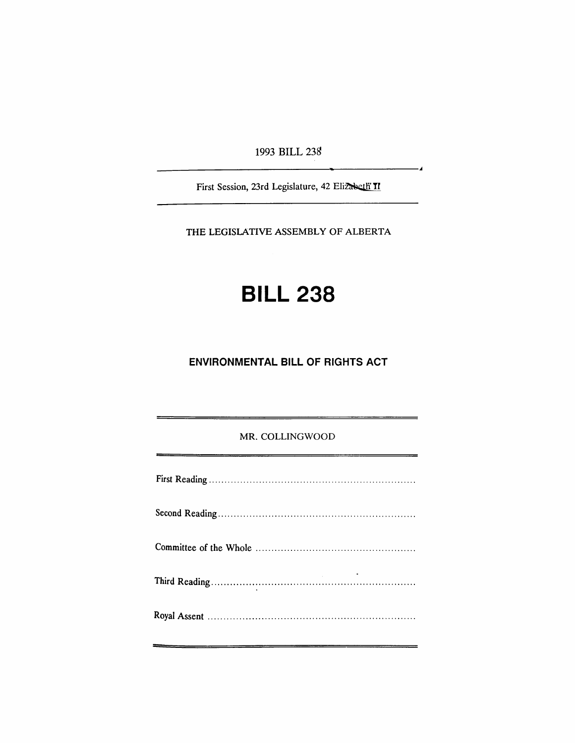1993 BILL 23S

ر.

First Session, 23rd Legislature, 42 Elizabeth II

THE LEGISLATIVE ASSEMBLY OF ALBERTA

# **BILL 238**

# **ENVIRONMENTAL BILL OF RIGHTS ACT**

## MR. COLLINGWOOD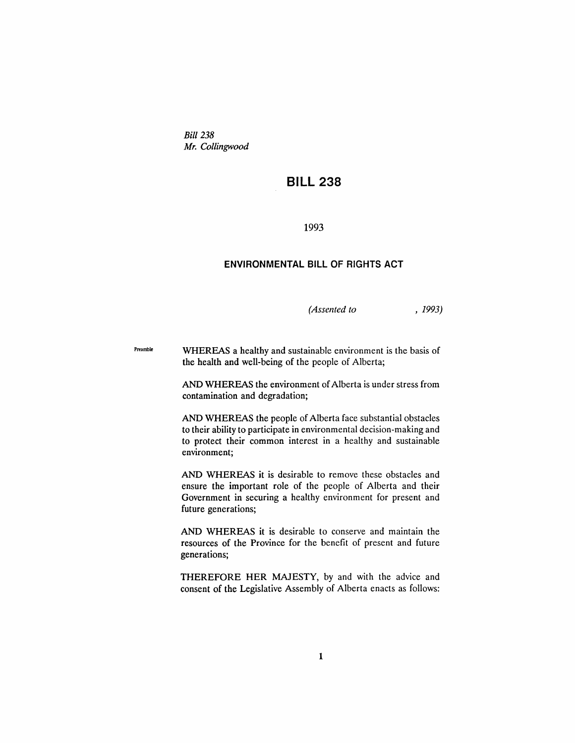Bill 238 *Mr. Collingwood*

## **BILL 238**

1993

## **ENVIRONMENTAL BILL OF RIGHTS ACT**

*(Assented to* , 1993)

Preamble WHEREAS a healthy and sustainable environment is the basis of the health and well-being of the people of Alberta;

> AND WHEREAS the environment of Alberta is under stress from contamination and degradation;

> AND WHEREAS the people of Alberta face substantial obstacles to their ability to participate in environmental decision-making and to protect their common interest in a healthy and sustainable environment;

> AND WHEREAS it is desirable to remove these obstacles and ensure the important role of the people of Alberta and their Government in securing a healthy environment for present and future generations;

> AND WHEREAS it is desirable to conserve and maintain the resources of the Province for the benefit of present and future generations;

> THEREFORE HER MAJESTY, by and with the advice and consent of the Legislative Assembly of Alberta enacts as follows: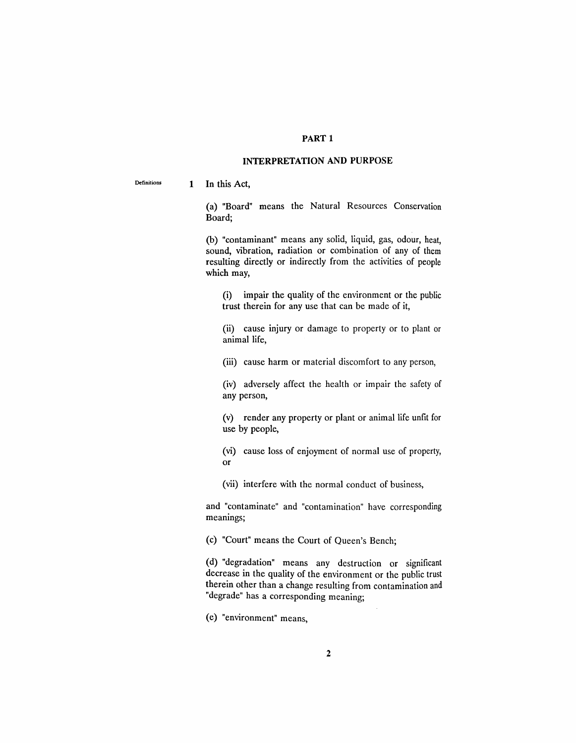## PART 1

## INTERPRETATION AND PURPOSE

Definitions 1 In this Act,

> (a) "Board" means the Natural Resources Conservation Board;

> (b) "contaminant" means any solid, liquid, gas, odour, heat, sound, vibration, radiation or combination of any of them resulting directly or indirectly from the activities of people which may,

(i) impair the quality of the environment or the public trust therein for any use that can be made of it,

(ii) cause injury or damage to property or to plant or animal life,

(iii) cause harm or material discomfort to any person,

(iv) adversely affect the health or impair the safety of any person,

(v) render any property or plant or animal life unfit for use by people,

(vi) cause loss of enjoyment of normal use of property, or

(vii) interfere with the normal conduct of business,

and "contaminate" and "contamination" have corresponding meanings;

(c) "Court" means the Court of Queen's Bench;

(d) "degradation" means any destruction or significant decrease in the quality of the environment or the public trust therein other than a change resulting from contamination and "degrade" has a corresponding meaning;

(e) "environment" means,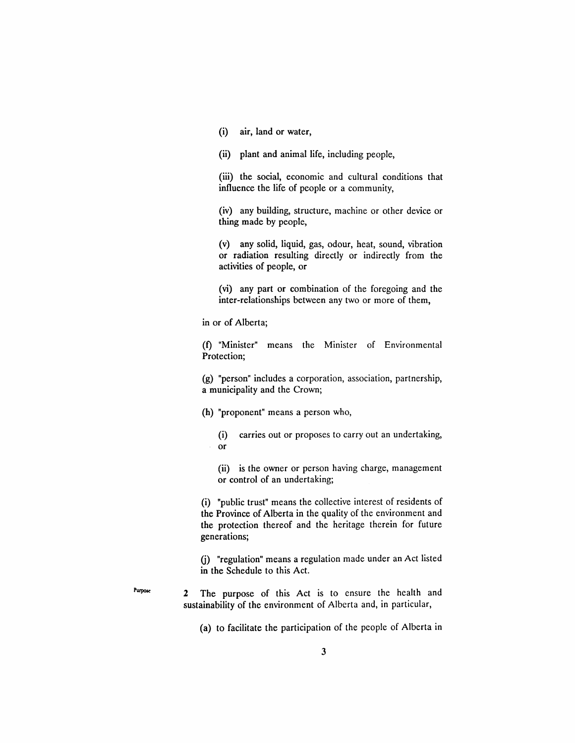(i) air, land or water,

(ii) plant and animal life, including people,

(iii) the social, economic and cultural conditions that influence the life of people or a community,

(iv) any building, structure, machine or other device or thing made by people,

(v) any solid, liquid, gas, odour, heat, sound, vibration or radiation resulting directly or indirectly from the activities of people, or

(vi) any part or combination of the foregoing and the inter-relationships between any two or more of them,

in or of Alberta;

Pwposc

(f) "Minister" means the Minister of Environmental Protection;

(g) "person" includes a corporation, association, partnership, a municipality and the Crown;

(h) "proponent" means a person who,

(i) carries out or proposes to carry out an undertaking, or

(ii) is the owner or person having charge, management or control of an undertaking;

(i) "public trust" means the collective interest of residents of the Province of Alberta in the quality of the environment and the protection thereof and the heritage therein for future generations;

G) "regulation" means a regulation made under an Act listed in the Schedule to this Act.

2 The purpose of this Act is to ensure the health and sustainability of the environment of Alberta and, in particular,

(a) to facilitate the participation of the people of Alberta in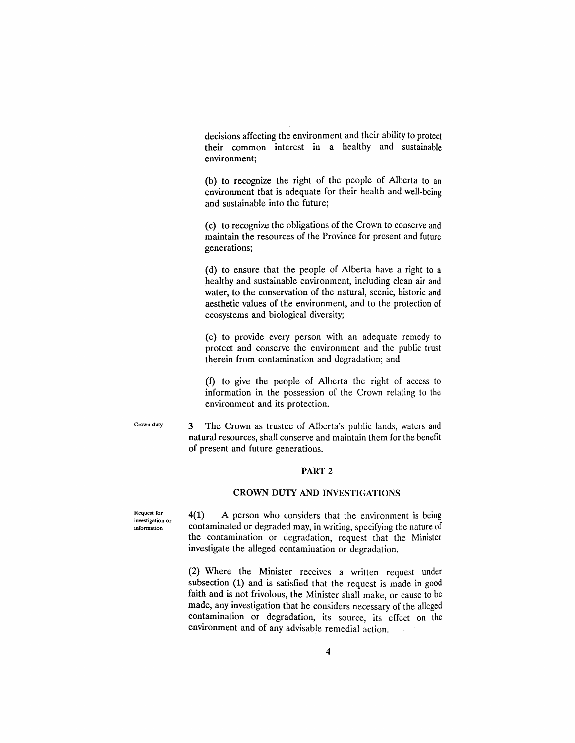decisions affecting the environment and their ability to protect their common interest in a healthy and sustainable environment;

(b) to recognize the right of the people of Alberta to an environment that is adequate for their health and well-being and sustainable into the future;

(c) to recognize the obligations of the Crown to conserve and maintain the resources of the Province for present and future generations;

(d) to ensure that the people of Alberta have a right to a healthy and sustainable environment, including clean air and water, to the conservation of the natural, scenic, historic and aesthetic values of the environment, and to the protection of ecosystems and biological diversity;

(e) to provide every person with an adequate remedy to protect and conserve the environment and the public trust therein from contamination and degradation; and

(f) to give the people of Alberta the right of access to information in the possession of the Crown relating to the environment and its protection.

Crown duty

3 The Crown as trustee of Alberta's public lands, waters and natural resources, shall conserve and maintain them for the benefit of present and future generations.

## PART 2

## CROWN DUTY AND INVESTIGATIONS

4(1) A person who considers that the environment is being contaminated or degraded may, in writing, specifying the nature of the contamination or degradation, request that the Minister investigate the alleged contamination or degradation.

(2) Where the Minister receives a written request under subsection (1) and is satisfied that the request is made in good faith and is not frivolous, the Minister shall make, or cause to be made, any investigation that he considers necessary of the alleged contamination or degradation, its source, its effect on the environment and of any advisable remedial action.

Request for investigation or information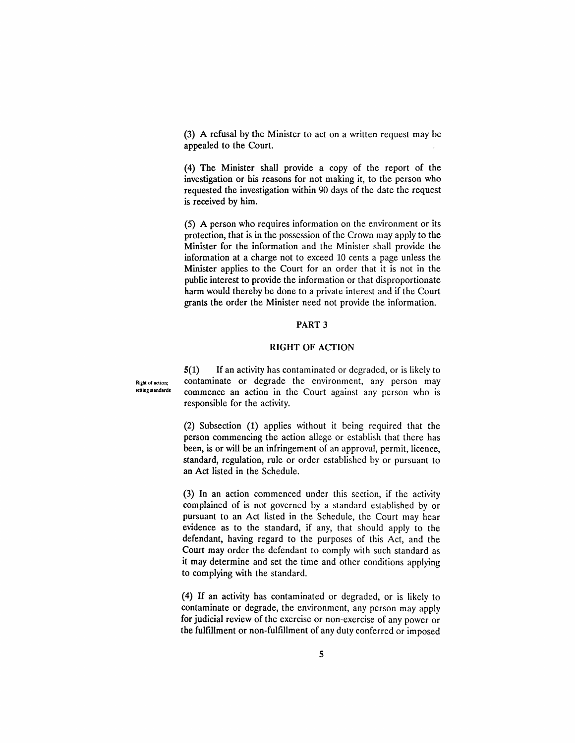(3) A refusal by the Minister to act on a written request may be appealed to the Court.

(4) The Minister shall provide a copy of the report of the investigation or his reasons for not making it, to the person who requested the investigation within 90 days of the date the request is received by him.

(5) A person who requires information on the environment or its protection, that is in the possession of the Crown may apply to the Minister for the information and the Minister shall provide the information at a charge not to exceed 10 cents a page unless the Minister applies to the Court for an order that it is not in the public interest to provide the information or that disproportionate harm would thereby be done to a private interest and if the Court grants the order the Minister need not provide the information.

## PART 3

#### RIGHT OF ACTION

5(1) If an activity has contaminated or degraded, or is likely to Right of action; contaminate or degrade the environment, any person may<br>setting standards commence on oction in the Court equinet any person who is commence an action in the Court against any person who is responsible for the activity.

> (2) Subsection (1) applies without it being required that the person commencing the action aHege or establish that there has been, is or will be an infringement of an approval, permit, licence, standard, regulation, rule or order established by or pursuant to an Act listed in the Schedule.

> (3) In an action commenced under this section, if the activity complained of is not governed by a standard established by or pursuant to an Act listed in the Schedule, the Court may hear evidence as to the standard, if any, that should apply to the defendant, having regard to the purposes of this Act, and the Court may order the defendant to comply with such standard as it may determine and set the time and other conditions applying to complying with the standard.

> (4) If an activity has contaminated or degraded, or is likely to contaminate or degrade, the environment, any person may apply for judicial review of the exercise or non-exercise of any power or the fulfillment or non-fulfillment of any duty conferred or imposed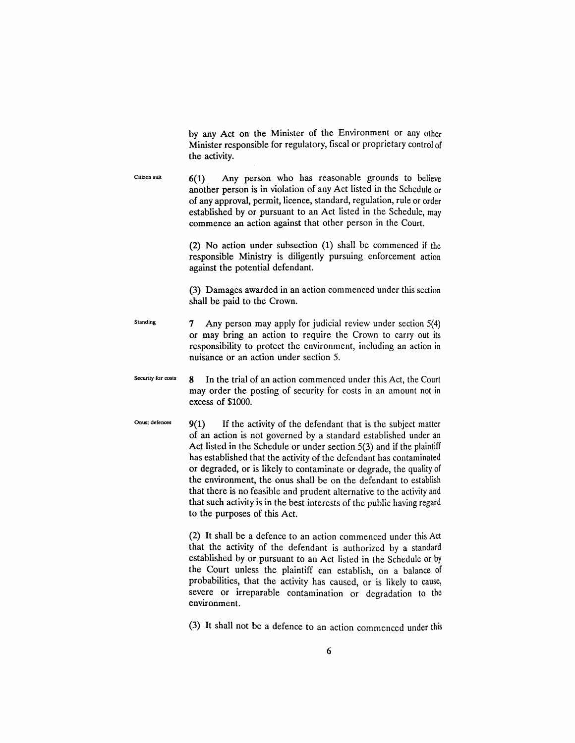by any Act on the Minister of the Environment or any other Minister responsible for regulatory, fiscal or proprietary control of the activity.

Citizen suit 6(1) Any person who has reasonable grounds to believe another person is in violation of any Act listed in the Schedule or of any approval, permit, licence, standard, regulation, rule or order established by or pursuant to an Act listed in the Schedule, may commence an action against that other person in the Court.

> (2) No action under subsection (1) shall be commenced if the responsible Ministry is diligently pursuing enforcement action against the potential defendant.

> (3) Damages awarded in an action commenced under this section shall be paid to the Crown.

Standing 7 Any person may apply for judicial review under section  $5(4)$ or may bring an action to require the Crown to carry out its responsibility to protect the environment, including an action in nuisance or an action under section 5.

Security for costs  $\bf{8}$  In the trial of an action commenced under this Act, the Court may order the posting of security for costs in an amount not in excess of \$1000.

Onus; defences  $9(1)$  If the activity of the defendant that is the subject matter of an action is not governed by a standard established under an Act listed in the Schedule or under section 5(3) and if the plaintiff has established that the activity of the defendant has contaminated or degraded, or is likely to contaminate or degrade, the quality of the environment, the onus shall be on the defendant to establish that there is no feasible and prudent alternative to the activity and that such activity is in the best interests of the public having regard to the purposes of this Act.

> (2) It shall be a defence to an action commenced under this Act that the activity of the defendant is authorized by a standard established by or pursuant to an Act listed in the Schedule or by the Court unless the plaintiff can establish, on a balance of probabilities, that the activity has caused, or is likely to cause, severe or irreparable contamination or degradation to the environment.

> (3) It shall not be a defence to an action commenced under this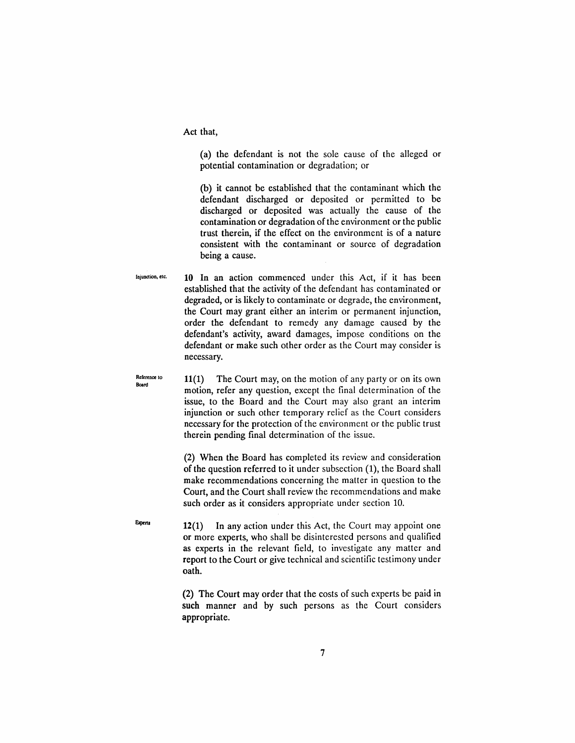Act that,

(a) the defendant is not the sole cause of the alleged or potential contamination or degradation; or

(b) it cannot be established that the contaminant which the defendant discharged or deposited or permitted to be discharged or deposited was actually the cause of the contamination or degradation of the environment or the public trust therein, if the effect on the environment is of a nature consistent with the contaminant or source of degradation being a cause.

lojuodion, etc. 10 In an action commenced under this Act, if it has been established that the activity of the defendant has contaminated or degraded, or is likely to contaminate or degrade, the environment, the Court may grant either an interim or permanent injunction, order the defendant to remedy any damage caused by the defendant's activity, award damages, impose conditions on the defendant or make such other order as the Court may consider is necessary.

11(1) The Court may, on the motion of any party or on its own motion, refer any question, except the final determination of the issue, to the Board and the Court may also grant an interim injunction or such other temporary relief as the Court considers necessary for the protection of the environment or the public trust therein pending final determination of the issue.

> (2) When the Board has completed its review and consideration of the question referred to it under subsection (1), the Board shall make recommendations concerning the matter in question to the Court, and the Court shall review the recommendations and make such order as it considers appropriate under section 10.

12(1) In any action under this Act, the Court may appoint one or more experts, who shall be disinterested persons and qualified as experts in the relevant field, to investigate any matter and report to the Court or give technical and scientific testimony under oath.

(2) The Court may order that the costs of such experts be paid in such manner and by such persons as the Court considers appropriate.

Reference to Board

**Experts**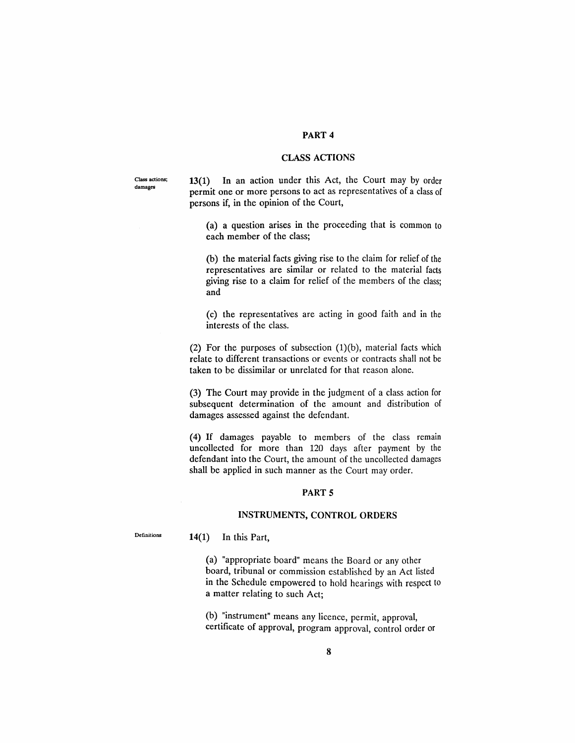## PART 4

## CLASS ACTIONS

C1ass actions; damages

13(1) In an action under this Act, the Court may by order permit one or more persons to act as representatives of a class of persons if, in the opinion of the Court,

(a) a question arises in the proceeding that is common to each member of the class;

(b) the material facts giving rise to the claim for relief of the representatives are similar or related to the material facts giving rise to a claim for relief of the members of the class; and

(c) the representatives are acting in good faith and in the interests of the class.

(2) For the purposes of subsection  $(1)(b)$ , material facts which relate to different transactions or events or contracts shall not be taken to be dissimilar or unrelated for that reason alone.

(3) The Court may provide in the judgment of a class action for subsequent determination of the amount and distribution of damages assessed against the defendant.

(4) If damages payable to members of the class remain uncollected for more than 120 days after payment by the defendant into the Court, the amount of the uncollected damages shall be applied in such manner as the Court may order.

## PART 5

#### INSTRUMENTS, CONTROL ORDERS

Definitions

14(1) In this Part,

(a) "appropriate board" means the Board or any other board, tribunal or commission established by an Act listed in the Schedule empowered to hold hearings with respect to a matter relating to such Act;

(b) "instrument" means any licence, permit, approval, certificate of approval, program approval, control order or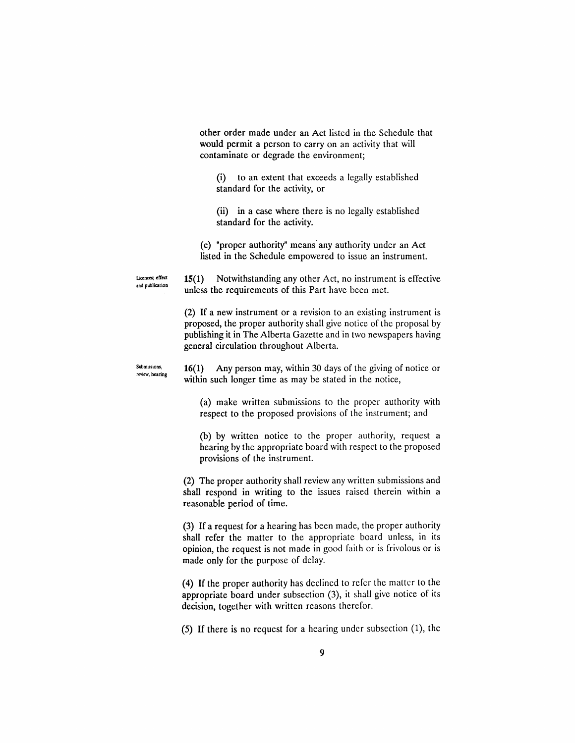other order made under an Act listed in the Schedule that would permit a person to carry on an activity that will contaminate or degrade the environment;

(i) to an extent that exceeds a legally established standard for the activity, or

(ii) in a case where there is no legally established standard for the activity.

(c) "proper authority" means' any authority under an Act listed in the Schedule empowered to issue an instrument.

Ucences; effect and publication 15(1) Notwithstanding any other Act, no instrument is effective unless the requirements of this Part have been met.

(2) If a new instrument or a revision to an existing instrument is proposed, the proper authority shall give notice of the proposal by publishing it in The Alberta Gazette and in two newspapers having general circulation throughout Alberta.

Submissions, review, hearing 16(1) Any person may, within 30 days of the giving of notice or within such longer time as may be stated in the notice,

(a) make written submissions to the proper authority with respect to the proposed provisions of the instrument; and

(b) by written notice to the proper authority, request a hearing by the appropriate board with respect to the proposed provisions of the instrument.

(2) The proper authority shall review any written submissions and shall respond in writing to the issues raised therein within a reasonable period of time.

(3) If a request for a hearing has been made, the proper authority shall refer the matter to the appropriate board unless, in its opinion, the request is not made in good faith or is frivolous or is made only for the purpose of delay.

(4) If the proper authority has declined to refer the matter to the appropriate board under subsection (3), it shall give notice of its decision, together with written reasons therefor.

(5) If there is no request for a hearing under subsection (1), the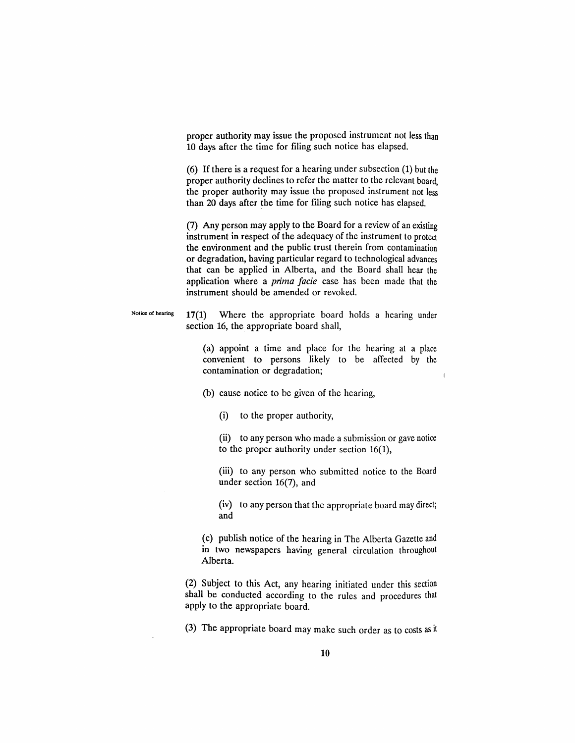proper authority may issue the proposed instrument not less than 10 days after the time for filing such notice has elapsed.

(6) If there is a request for a hearing under subsection (1) but the proper authority declines to refer the matter to the relevant board, the proper authority may issue the proposed instrument not less than 20 days after the time for filing such notice has elapsed.

(7) Any person may apply to the Board for a review of an existing instrument in respect of the adequacy of the instrument to protect the environment and the public trust therein from contamination or degradation, having particular regard to technological advances that can be applied in Alberta, and the Board shall hear the application where a *prima facie* case has been made that the instrument should be amended or revoked.

Notice of hearing  $17(1)$  Where the appropriate board holds a hearing under section 16, the appropriate board shall,

> (a) appoint a time and place for the hearing at a place convenient to persons likely to be affected by the contamination or degradation;

(b) cause notice to be given of the hearing,

(i) to the proper authority,

(ii) to any person who made a submission or gave notice to the proper authority under section 16(1),

(iii) to any person who submitted notice to the Board under section 16(7), and

(iv) to any person that the appropriate board may direct; and

(c) publish notice of the hearing in The Alberta Gazette and in two newspapers having general circulation throughout Alberta.

(2) Subject to this Act, any hearing initiated under this section shall be conducted according to the rules and procedures that apply to the appropriate board.

(3) The appropriate board may make such order as to costs as it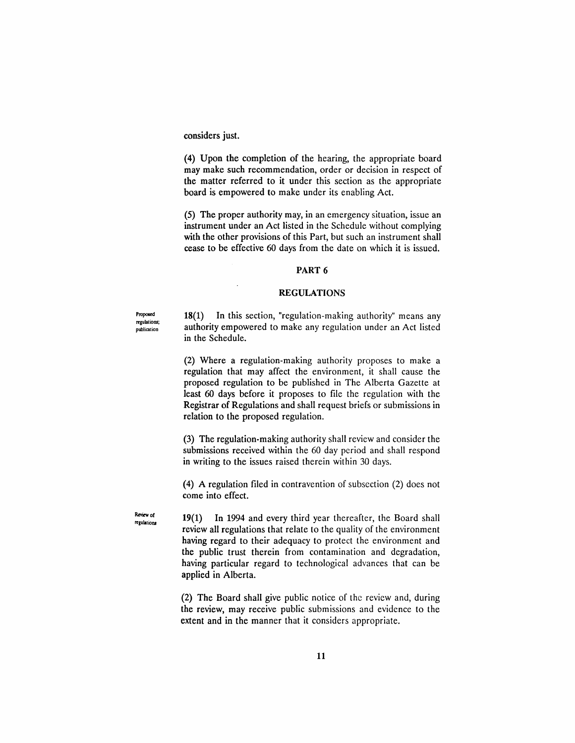considers just.

(4) Upon the completion of the hearing, the appropriate board may make such recommendation, order or decision in respect of the matter referred to it under this section as the appropriate board is empowered to make under its enabling Act.

(5) The proper authority may, in an emergency situation, issue an instrument under an Act listed in the Schedule without complying with the other provisions of this Part, but such an instrument shall cease to be effective 60 days from the date on which it is issued.

#### PART 6

## REGULATIONS

Proposed regulations; publication

18(1) In this section, "regulation-making authority" means any authority empowered to make any regulation under an Act listed in the Schedule.

(2) Where a regulation-making authority proposes to make a regulation that may affect the environment, it shall cause the proposed regulation to be published in The Alberta Gazette at least 60 days before it proposes to file the regulation with the Registrar of Regulations and shall request briefs or submissions in relation to the proposed regulation.

(3) The regulation-making authority shall review and consider the submissions received within the 60 day period and shall respond in writing to the issues raised therein within 30 days.

(4) A regulation filed in contravention of subsection (2) does not come into effect.

19(1) In 1994 and every third year thereafter, the Board shall review all regulations that relate to the quality of the environment having regard to their adequacy to protect the environment and the public trust therein from contamination and degradation, having particular regard to technological advances that can be applied in Alberta.

(2) The Board shall give public notice of the review and, during the review, may receive public submissions and evidence to the extent and in the manner that it considers appropriate.

Review of regulations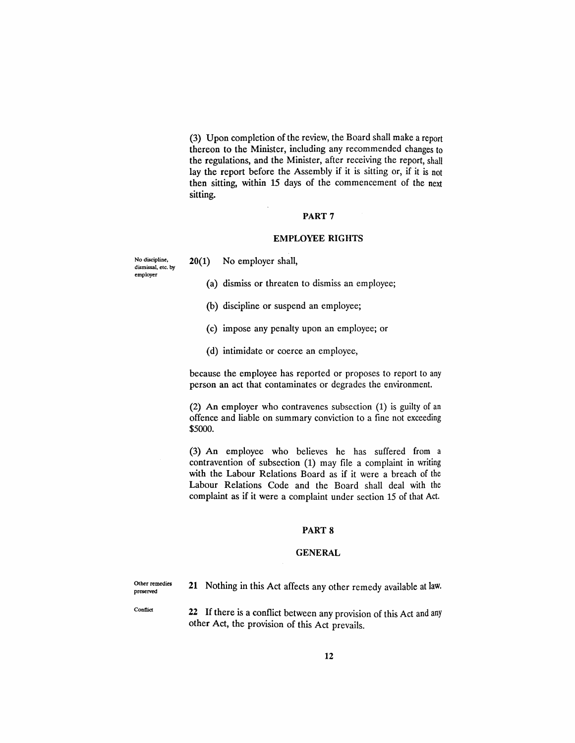(3) Upon completion of the review, the Board shall make a report thereon to the Minister, including any recommended changes to the regulations, and the Minister, after receiving the report, shall lay the report before the Assembly if it is sitting or, if it is not then sitting, within 15 days of the commencement of the next sitting.

## PART 7

## EMPLOYEE RIGHTS

dismissal, etc. by employer

No discipline, 20(1) No employer shall,

(a) dismiss or threaten to dismiss an employee;

- (b) discipline or suspend an employee;
- (c) impose any penalty upon an employee; or
- (d) intimidate or coerce an employee,

because the employee has reported or proposes to report to any person an act that contaminates or degrades the environment.

(2) An employer who contravenes subsection (1) is guilty of an offence and liable on summary conviction to a fine not exceeding \$5000.

(3) An employee who believes he has suffered from a contravention of subsection (1) may file a complaint in writing with the Labour Relations Board as if it were a breach of the Labour Relations Code and the Board shall deal with the complaint as if it were a complaint under section 15 of that Act.

#### PART 8

#### GENERAL

Olher remedies preserved

21 Nothing in this Act affects any other remedy available at law.

Conflict

22 If there is a conflict between any provision of this Act and any other Act, the provision of this Act prevails.